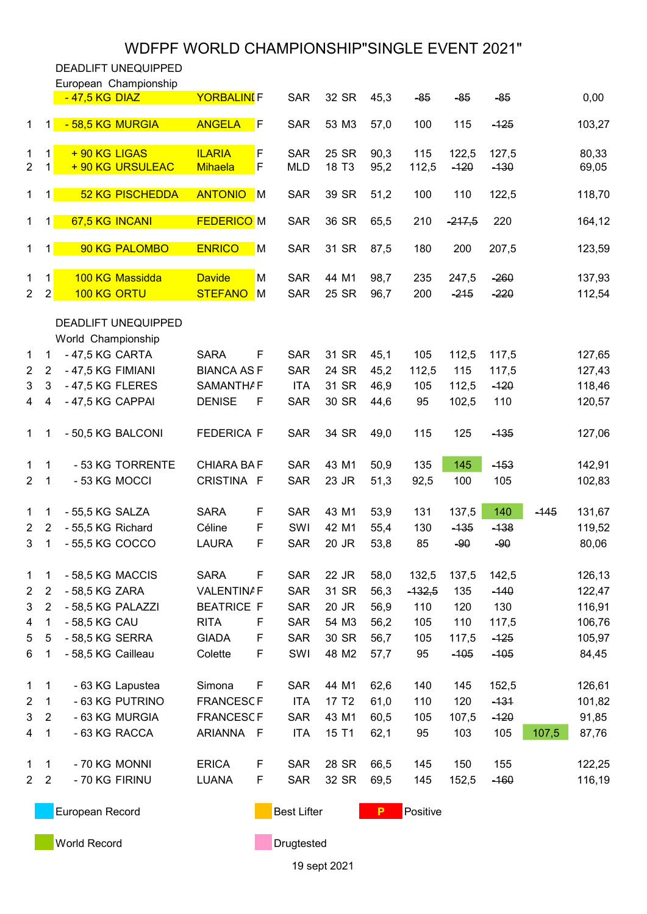## WDFPF WORLD CHAMPIONSHIP"SINGLE EVENT 2021"

DEADLIFT UNEQUIPPED

|                                |                     | European Championship<br>-47,5 KG DIAZ | <b>YORBALINI</b> F              |                     | <b>SAR</b>               | 32 SR             | 45,3         | $-85$        | $-85$           | $-85$            |        | 0,00             |
|--------------------------------|---------------------|----------------------------------------|---------------------------------|---------------------|--------------------------|-------------------|--------------|--------------|-----------------|------------------|--------|------------------|
| $\mathbf 1$                    | 11                  | - 58,5 KG MURGIA                       | <b>ANGELA</b>                   | F                   | <b>SAR</b>               | 53 M3             | 57,0         | 100          | 115             | $-125$           |        | 103,27           |
| 1<br>$\overline{2}$            | 1<br>1              | +90 KG LIGAS<br>+ 90 KG URSULEAC       | <b>ILARIA</b><br><b>Mihaela</b> | F<br>F              | <b>SAR</b><br><b>MLD</b> | 25 SR<br>18 T3    | 90,3<br>95,2 | 115<br>112,5 | 122,5<br>$-120$ | 127,5<br>$-130$  |        | 80,33<br>69,05   |
| $\mathbf{1}$                   | 1                   | <b>52 KG PISCHEDDA</b>                 | <b>ANTONIO</b>                  | $\blacksquare$      | <b>SAR</b>               | 39 SR             | 51,2         | 100          | 110             | 122,5            |        | 118,70           |
| $\mathbf{1}$                   | $\mathbf{1}$        | 67,5 KG INCANI                         | <b>FEDERICO</b> M               |                     | <b>SAR</b>               | 36 SR             | 65,5         | 210          | $-217,5$        | 220              |        | 164,12           |
| $\mathbf{1}$                   | $\mathbf{1}$        | 90 KG PALOMBO                          | <b>ENRICO</b>                   | M                   | <b>SAR</b>               | 31 SR             | 87,5         | 180          | 200             | 207,5            |        | 123,59           |
| $\mathbf{1}$<br>$\overline{2}$ | 1<br>$\overline{2}$ | 100 KG Massidda<br>100 KG ORTU         | <b>Davide</b><br><b>STEFANO</b> | M<br>$\blacksquare$ | <b>SAR</b><br><b>SAR</b> | 44 M1<br>25 SR    | 98,7<br>96,7 | 235<br>200   | 247,5<br>$-215$ | $-260$<br>$-220$ |        | 137,93<br>112,54 |
|                                |                     | <b>DEADLIFT UNEQUIPPED</b>             |                                 |                     |                          |                   |              |              |                 |                  |        |                  |
|                                |                     | World Championship                     |                                 |                     |                          |                   |              |              |                 |                  |        |                  |
| $\mathbf{1}$                   | 1                   | - 47,5 KG CARTA                        | <b>SARA</b>                     | F                   | <b>SAR</b>               | 31 SR             | 45,1         | 105          | 112,5           | 117,5            |        | 127,65           |
| $\overline{2}$                 | $\overline{2}$      | - 47,5 KG FIMIANI                      | <b>BIANCA ASF</b>               |                     | <b>SAR</b>               | 24 SR             | 45,2         | 112,5        | 115             | 117,5            |        | 127,43           |
| 3                              | 3                   | - 47,5 KG FLERES                       | <b>SAMANTHAF</b>                |                     | <b>ITA</b>               | 31 SR             | 46,9         | 105          | 112,5           | $-120$           |        | 118,46           |
|                                |                     |                                        |                                 |                     |                          |                   |              |              |                 |                  |        |                  |
| 4                              | 4                   | - 47,5 KG CAPPAI                       | <b>DENISE</b>                   | F                   | <b>SAR</b>               | 30 SR             | 44,6         | 95           | 102,5           | 110              |        | 120,57           |
| $\mathbf{1}$                   | 1                   | - 50,5 KG BALCONI                      | <b>FEDERICA F</b>               |                     | <b>SAR</b>               | 34 SR             | 49,0         | 115          | 125             | $-135$           |        | 127,06           |
| 1                              | 1                   | - 53 KG TORRENTE                       | <b>CHIARA BAF</b>               |                     | <b>SAR</b>               | 43 M1             | 50,9         | 135          | 145             | $-153$           |        | 142,91           |
| $\overline{2}$                 | 1                   | - 53 KG MOCCI                          | CRISTINA F                      |                     | <b>SAR</b>               | 23 JR             | 51,3         | 92,5         | 100             | 105              |        | 102,83           |
| $\mathbf 1$                    | 1                   | - 55,5 KG SALZA                        | <b>SARA</b>                     | F                   | <b>SAR</b>               | 43 M1             | 53,9         | 131          | 137,5           | 140              | $-145$ | 131,67           |
| $\overline{2}$                 | $\overline{2}$      | - 55,5 KG Richard                      | Céline                          | F                   | SWI                      | 42 M1             | 55,4         | 130          | $-135$          | $-138$           |        | 119,52           |
| 3                              | 1                   | - 55,5 KG COCCO                        | <b>LAURA</b>                    | F                   | <b>SAR</b>               | 20 JR             | 53,8         | 85           | $-90$           | $-90$            |        | 80,06            |
| 1                              | 1                   | - 58,5 KG MACCIS                       | <b>SARA</b>                     | F                   | <b>SAR</b>               | 22 JR             | 58,0         | 132,5        | 137,5           | 142,5            |        | 126,13           |
| $\overline{2}$                 | $\overline{2}$      | - 58,5 KG ZARA                         | <b>VALENTINAF</b>               |                     | <b>SAR</b>               | 31 SR             | 56,3         | $-132,5$     | 135             | $-140$           |        | 122,47           |
| 3                              | $\overline{2}$      | - 58,5 KG PALAZZI                      | <b>BEATRICE F</b>               |                     | <b>SAR</b>               | 20 JR             | 56,9         | 110          | 120             | 130              |        | 116,91           |
| 4                              | 1                   | - 58,5 KG CAU                          | <b>RITA</b>                     | F                   | <b>SAR</b>               | 54 M3             | 56,2         | 105          | 110             | 117,5            |        | 106,76           |
| 5                              | 5                   | - 58,5 KG SERRA                        | <b>GIADA</b>                    | F                   | <b>SAR</b>               | 30 SR             | 56,7         | 105          | 117,5           | $-125$           |        | 105,97           |
| 6                              | 1                   | - 58,5 KG Cailleau                     | Colette                         | F                   | SWI                      | 48 M2             | 57,7         | 95           | $-105$          | $-105$           |        | 84,45            |
| $\mathbf{1}$                   | 1                   | - 63 KG Lapustea                       | Simona                          | F                   | <b>SAR</b>               | 44 M1             | 62,6         | 140          | 145             | 152,5            |        | 126,61           |
| $\overline{c}$                 | $\mathbf{1}$        | - 63 KG PUTRINO                        | <b>FRANCESCF</b>                |                     | <b>ITA</b>               | 17 T <sub>2</sub> | 61,0         | 110          | 120             | $-131$           |        | 101,82           |
| 3                              | $\overline{2}$      | - 63 KG MURGIA                         | <b>FRANCESCF</b>                |                     | <b>SAR</b>               | 43 M1             | 60,5         | 105          | 107,5           | $-120$           |        | 91,85            |
| 4                              | 1                   | - 63 KG RACCA                          | ARIANNA F                       |                     | <b>ITA</b>               | 15 T1             | 62,1         | 95           | 103             | 105              | 107,5  | 87,76            |
| $\mathbf{1}$                   | 1                   | - 70 KG MONNI                          | <b>ERICA</b>                    | F                   | <b>SAR</b>               | 28 SR             | 66,5         | 145          | 150             | 155              |        | 122,25           |
| $\overline{2}$                 | $\overline{2}$      | - 70 KG FIRINU                         | <b>LUANA</b>                    | F                   | <b>SAR</b>               | 32 SR             | 69,5         | 145          | 152,5           | $-160$           |        | 116,19           |
|                                |                     | European Record                        |                                 |                     | <b>Best Lifter</b>       |                   | Р            | Positive     |                 |                  |        |                  |

**World Record Drugtested** 

19 sept 2021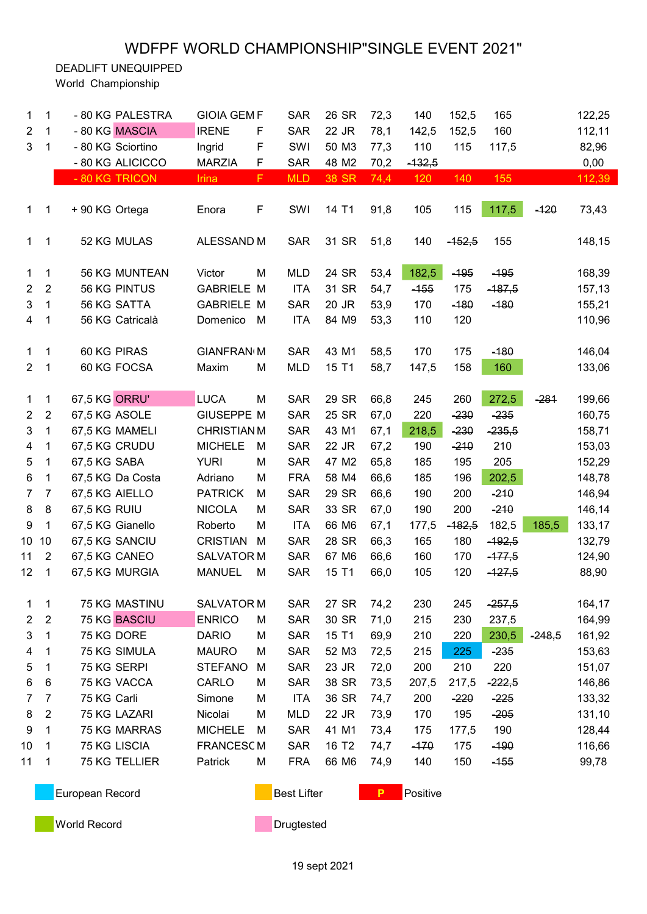## WDFPF WORLD CHAMPIONSHIP"SINGLE EVENT 2021"

DEADLIFT UNEQUIPPED

World Championship

| 1              | 1              | - 80 KG PALESTRA    | <b>GIOIA GEM F</b> |             | <b>SAR</b>         | 26 SR             | 72,3 | 140      | 152,5    | 165      |          | 122,25 |
|----------------|----------------|---------------------|--------------------|-------------|--------------------|-------------------|------|----------|----------|----------|----------|--------|
| $\overline{2}$ | 1              | - 80 KG MASCIA      | <b>IRENE</b>       | F           | <b>SAR</b>         | 22 JR             | 78,1 | 142,5    | 152,5    | 160      |          | 112,11 |
| 3              | 1              | - 80 KG Sciortino   | Ingrid             | F           | SWI                | 50 M3             | 77,3 | 110      | 115      | 117,5    |          | 82,96  |
|                |                | - 80 KG ALICICCO    | <b>MARZIA</b>      | $\mathsf F$ | <b>SAR</b>         | 48 M2             | 70,2 | $-132,5$ |          |          |          | 0,00   |
|                |                | - 80 KG TRICON      | <b>Irina</b>       | F           | <b>MLD</b>         | <b>38 SR</b>      | 74,4 | 120      | 140      | 155      |          | 112,39 |
|                |                |                     |                    |             |                    |                   |      |          |          |          |          |        |
| $\mathbf{1}$   | $\mathbf{1}$   | +90 KG Ortega       | Enora              | F           | SWI                | 14 T1             | 91,8 | 105      | 115      | 117,5    | $-120$   | 73,43  |
|                |                |                     |                    |             |                    |                   |      |          |          |          |          |        |
| $\mathbf{1}$   | 1              | 52 KG MULAS         | ALESSAND M         |             | <b>SAR</b>         | 31 SR             | 51,8 | 140      | $-152,5$ | 155      |          | 148,15 |
|                |                |                     |                    |             |                    |                   |      |          |          |          |          |        |
| 1              | 1              | 56 KG MUNTEAN       | Victor             | M           | <b>MLD</b>         | 24 SR             | 53,4 | 182,5    | $-195$   | $-195$   |          | 168,39 |
| $\overline{2}$ | $\overline{2}$ | 56 KG PINTUS        | <b>GABRIELE M</b>  |             | <b>ITA</b>         | 31 SR             | 54,7 | $-155$   | 175      | $-187,5$ |          | 157,13 |
| 3              | $\mathbf 1$    | 56 KG SATTA         | <b>GABRIELE M</b>  |             | <b>SAR</b>         | 20 JR             | 53,9 | 170      | $-180$   | $-180$   |          | 155,21 |
| 4              | 1              | 56 KG Catricalà     | Domenico           | M           | <b>ITA</b>         | 84 M9             | 53,3 | 110      | 120      |          |          | 110,96 |
|                |                |                     |                    |             |                    |                   |      |          |          |          |          |        |
| 1              | $\mathbf{1}$   | 60 KG PIRAS         | <b>GIANFRAN(M</b>  |             | <b>SAR</b>         | 43 M1             | 58,5 | 170      | 175      | $-180$   |          | 146,04 |
| $\overline{2}$ | $\mathbf 1$    | 60 KG FOCSA         | Maxim              | M           | <b>MLD</b>         | 15 T1             | 58,7 | 147,5    | 158      | 160      |          | 133,06 |
|                |                |                     |                    |             |                    |                   |      |          |          |          |          |        |
| $\mathbf 1$    | $\mathbf{1}$   | 67,5 KG ORRU'       | <b>LUCA</b>        | M           | <b>SAR</b>         | 29 SR             | 66,8 | 245      | 260      | 272,5    | $-281$   | 199,66 |
| $\overline{2}$ | $\overline{2}$ | 67,5 KG ASOLE       | <b>GIUSEPPE M</b>  |             | <b>SAR</b>         | 25 SR             | 67,0 | 220      | $-230$   | $-235$   |          | 160,75 |
| 3              | 1              | 67,5 KG MAMELI      | <b>CHRISTIANM</b>  |             | <b>SAR</b>         | 43 M1             | 67,1 | 218,5    | $-230$   | $-235,5$ |          | 158,71 |
| 4              | 1              | 67,5 KG CRUDU       | <b>MICHELE</b>     | M           | <b>SAR</b>         | 22 JR             | 67,2 | 190      | $-210$   | 210      |          | 153,03 |
| 5              | $\mathbf{1}$   | 67,5 KG SABA        | <b>YURI</b>        | M           | <b>SAR</b>         | 47 M2             | 65,8 | 185      | 195      | 205      |          | 152,29 |
| 6              | 1              | 67,5 KG Da Costa    | Adriano            | M           | <b>FRA</b>         | 58 M4             | 66,6 | 185      | 196      | 202,5    |          | 148,78 |
| $\overline{7}$ | $\overline{7}$ | 67,5 KG AIELLO      | <b>PATRICK</b>     | M           | <b>SAR</b>         | 29 SR             | 66,6 | 190      | 200      | $-210$   |          | 146,94 |
| 8              | 8              | 67,5 KG RUIU        | <b>NICOLA</b>      | M           | <b>SAR</b>         | 33 SR             | 67,0 | 190      | 200      | $-210$   |          | 146,14 |
| 9              | 1              | 67,5 KG Gianello    | Roberto            | M           | <b>ITA</b>         | 66 M6             | 67,1 | 177,5    | $-182,5$ | 182,5    | 185,5    | 133,17 |
| 10             | 10             | 67,5 KG SANCIU      | <b>CRISTIAN</b>    | M           | <b>SAR</b>         | 28 SR             | 66,3 | 165      | 180      | $-192,5$ |          | 132,79 |
| 11             | $\overline{2}$ | 67,5 KG CANEO       | <b>SALVATOR M</b>  |             | <b>SAR</b>         | 67 M6             | 66,6 | 160      | 170      | $-177,5$ |          | 124,90 |
| 12             | 1              | 67,5 KG MURGIA      | <b>MANUEL</b>      | M           | <b>SAR</b>         | 15 T1             | 66,0 | 105      | 120      | $-127,5$ |          | 88,90  |
|                |                |                     |                    |             |                    |                   |      |          |          |          |          |        |
| 1              | 1              | 75 KG MASTINU       | <b>SALVATOR M</b>  |             | <b>SAR</b>         | 27 SR             | 74,2 | 230      | 245      | $-257,5$ |          | 164,17 |
| $\overline{c}$ | $\overline{2}$ | 75 KG BASCIU        | <b>ENRICO</b>      | M           | <b>SAR</b>         | 30 SR             | 71,0 | 215      | 230      | 237,5    |          | 164,99 |
| 3              | 1              | 75 KG DORE          | <b>DARIO</b>       | M           | <b>SAR</b>         | 15 T1             | 69,9 | 210      | 220      | 230,5    | $-248,5$ | 161,92 |
| 4              | 1              | 75 KG SIMULA        | <b>MAURO</b>       | M           | <b>SAR</b>         | 52 M3             | 72,5 | 215      | 225      | $-235$   |          | 153,63 |
| 5              | 1              | 75 KG SERPI         | <b>STEFANO</b>     | M           | <b>SAR</b>         | 23 JR             | 72,0 | 200      | 210      | 220      |          | 151,07 |
| 6              | 6              | 75 KG VACCA         | CARLO              | M           | <b>SAR</b>         | 38 SR             | 73,5 | 207,5    | 217,5    | $-222,5$ |          | 146,86 |
| 7              | 7              | 75 KG Carli         | Simone             | M           | <b>ITA</b>         | 36 SR             | 74,7 | 200      | $-220$   | $-225$   |          | 133,32 |
| 8              | $\overline{2}$ | 75 KG LAZARI        | Nicolai            | M           | <b>MLD</b>         | 22 JR             | 73,9 | 170      | 195      | $-205$   |          | 131,10 |
| 9              | 1              | 75 KG MARRAS        | <b>MICHELE</b>     | M           | <b>SAR</b>         | 41 M1             | 73,4 | 175      | 177,5    | 190      |          | 128,44 |
| 10             | 1              | <b>75 KG LISCIA</b> | <b>FRANCESCM</b>   |             | <b>SAR</b>         | 16 T <sub>2</sub> | 74,7 | $-170$   | 175      | $-190$   |          | 116,66 |
| 11             | 1              | 75 KG TELLIER       | Patrick            | M           | <b>FRA</b>         | 66 M6             | 74,9 | 140      | 150      | $-155$   |          | 99,78  |
|                |                |                     |                    |             |                    |                   |      |          |          |          |          |        |
|                |                | European Record     |                    |             | <b>Best Lifter</b> |                   | P    | Positive |          |          |          |        |

**World Record Drugtested**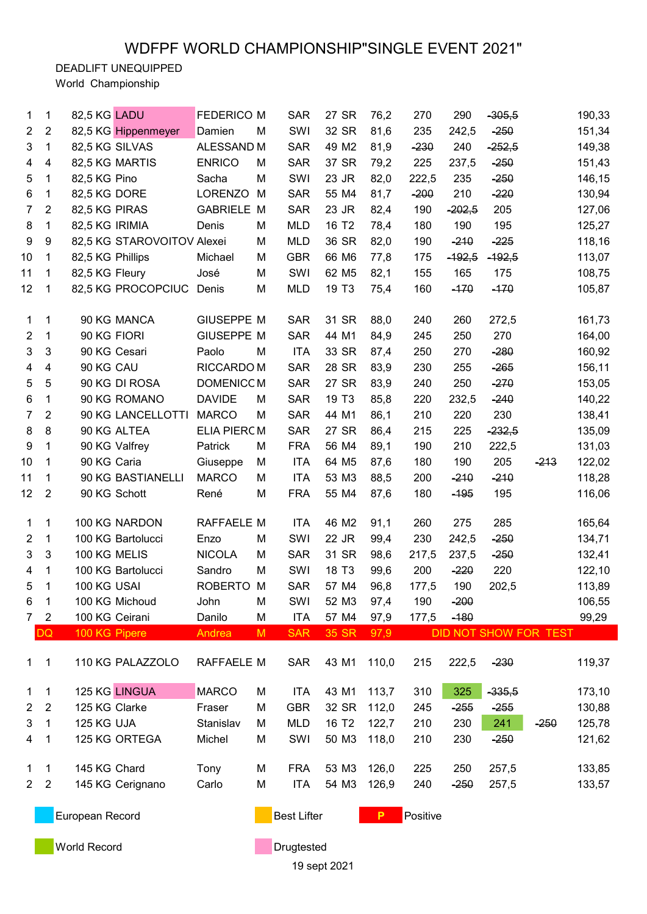DEADLIFT UNEQUIPPED

World Championship

| 1                       | 1              | 82,5 KG LADU        |                            | <b>FEDERICO M</b>  |   | <b>SAR</b>         | 27 SR             | 76,2  | 270      | 290      | $-305,5$ |                       | 190,33 |
|-------------------------|----------------|---------------------|----------------------------|--------------------|---|--------------------|-------------------|-------|----------|----------|----------|-----------------------|--------|
| $\overline{2}$          | $\overline{2}$ | 82,5 KG Hippenmeyer |                            | Damien             | M | SWI                | 32 SR             | 81,6  | 235      | 242,5    | $-250$   |                       | 151,34 |
| 3                       | 1              | 82,5 KG SILVAS      |                            | ALESSAND M         |   | <b>SAR</b>         | 49 M2             | 81,9  | $-230$   | 240      | $-252,5$ |                       | 149,38 |
| $\overline{4}$          | $\overline{4}$ | 82,5 KG MARTIS      |                            | <b>ENRICO</b>      | M | <b>SAR</b>         | 37 SR             | 79,2  | 225      | 237,5    | $-250$   |                       | 151,43 |
| 5                       | 1              | 82,5 KG Pino        |                            | Sacha              | M | SWI                | 23 JR             | 82,0  | 222,5    | 235      | $-250$   |                       | 146,15 |
| 6                       | 1              | 82,5 KG DORE        |                            | <b>LORENZO</b>     | M | <b>SAR</b>         | 55 M4             | 81,7  | $-200$   | 210      | $-220$   |                       | 130,94 |
| $\overline{7}$          | $\overline{2}$ | 82,5 KG PIRAS       |                            | <b>GABRIELE M</b>  |   | <b>SAR</b>         | 23 JR             | 82,4  | 190      | $-202,5$ | 205      |                       | 127,06 |
| 8                       | 1              | 82,5 KG IRIMIA      |                            | Denis              | M | <b>MLD</b>         | 16 T <sub>2</sub> | 78,4  | 180      | 190      | 195      |                       | 125,27 |
| 9                       | 9              |                     | 82,5 KG STAROVOITOV Alexei |                    | M | <b>MLD</b>         | 36 SR             | 82,0  | 190      | $-210$   | $-225$   |                       | 118,16 |
| 10                      | 1              | 82,5 KG Phillips    |                            | Michael            | M | <b>GBR</b>         | 66 M6             | 77,8  | 175      | $-192,5$ | $-192,5$ |                       | 113,07 |
| 11                      | 1              | 82,5 KG Fleury      |                            | José               | M | SWI                | 62 M <sub>5</sub> | 82,1  | 155      | 165      | 175      |                       | 108,75 |
| 12                      | 1              | 82,5 KG PROCOPCIUC  |                            | Denis              | M | <b>MLD</b>         | 19 T <sub>3</sub> | 75,4  | 160      | $-170$   | $-170$   |                       | 105,87 |
|                         |                |                     |                            |                    |   |                    |                   |       |          |          |          |                       |        |
| 1                       | 1              | 90 KG MANCA         |                            | <b>GIUSEPPE M</b>  |   | <b>SAR</b>         | 31 SR             | 88,0  | 240      | 260      | 272,5    |                       | 161,73 |
| $\overline{2}$          | 1              | 90 KG FIORI         |                            | <b>GIUSEPPE M</b>  |   | <b>SAR</b>         | 44 M1             | 84,9  | 245      | 250      | 270      |                       | 164,00 |
| 3                       | 3              | 90 KG Cesari        |                            | Paolo              | M | <b>ITA</b>         | 33 SR             | 87,4  | 250      | 270      | $-280$   |                       | 160,92 |
| $\overline{\mathbf{4}}$ | $\overline{4}$ | 90 KG CAU           |                            | RICCARDO M         |   | <b>SAR</b>         | 28 SR             | 83,9  | 230      | 255      | $-265$   |                       | 156,11 |
| 5                       | 5              | 90 KG DI ROSA       |                            | DOMENICCM          |   | <b>SAR</b>         | 27 SR             | 83,9  | 240      | 250      | $-270$   |                       | 153,05 |
| 6                       | $\mathbf{1}$   | 90 KG ROMANO        |                            | <b>DAVIDE</b>      | M | <b>SAR</b>         | 19 T <sub>3</sub> | 85,8  | 220      | 232,5    | $-240$   |                       | 140,22 |
| $\overline{7}$          | $\overline{2}$ |                     | 90 KG LANCELLOTTI          | <b>MARCO</b>       | M | <b>SAR</b>         | 44 M1             | 86,1  | 210      | 220      | 230      |                       | 138,41 |
| 8                       | 8              | 90 KG ALTEA         |                            | <b>ELIA PIERCM</b> |   | <b>SAR</b>         | 27 SR             | 86,4  | 215      | 225      | $-232,5$ |                       | 135,09 |
| 9                       | $\mathbf{1}$   | 90 KG Valfrey       |                            | Patrick            | M | <b>FRA</b>         | 56 M4             | 89,1  | 190      | 210      | 222,5    |                       | 131,03 |
| 10                      | 1              | 90 KG Caria         |                            |                    |   | <b>ITA</b>         | 64 M <sub>5</sub> | 87,6  | 180      | 190      | 205      | $-213$                |        |
|                         |                |                     |                            | Giuseppe           | M |                    |                   |       |          |          |          |                       | 122,02 |
| 11                      | 1              | 90 KG BASTIANELLI   |                            | <b>MARCO</b>       | M | <b>ITA</b>         | 53 M3             | 88,5  | 200      | $-210$   | $-210$   |                       | 118,28 |
| 12                      | 2              | 90 KG Schott        |                            | René               | M | <b>FRA</b>         | 55 M4             | 87,6  | 180      | $-195$   | 195      |                       | 116,06 |
| 1                       | 1              | 100 KG NARDON       |                            | <b>RAFFAELE M</b>  |   | <b>ITA</b>         | 46 M2             | 91,1  | 260      | 275      | 285      |                       | 165,64 |
| 2                       | 1              | 100 KG Bartolucci   |                            | Enzo               | M | SWI                | 22 JR             | 99,4  | 230      | 242,5    | $-250$   |                       | 134,71 |
| 3                       | 3              | 100 KG MELIS        |                            | <b>NICOLA</b>      | M | <b>SAR</b>         | 31 SR             | 98,6  | 217,5    | 237,5    | $-250$   |                       | 132,41 |
| 4                       | 1              | 100 KG Bartolucci   |                            | Sandro             | M | SWI                | 18 T <sub>3</sub> | 99,6  | 200      | $-220$   | 220      |                       | 122,10 |
| 5                       | 1              | 100 KG USAI         |                            | ROBERTO IM         |   | <b>SAR</b>         | 57 M4             | 96,8  | 177,5    | 190      | 202,5    |                       | 113,89 |
| 6                       | 1              | 100 KG Michoud      |                            | John               | M | SWI                | 52 M3             | 97,4  | 190      | $-200$   |          |                       | 106,55 |
| $\overline{7}$          | $\overline{2}$ | 100 KG Ceirani      |                            | Danilo             | M | <b>ITA</b>         | 57 M4             | 97,9  | 177,5    | $-180$   |          |                       | 99,29  |
|                         | DQ             | 100 KG Pipere       |                            | Andrea             | M | <b>SAR</b>         | 35 SR             | 97,9  |          |          |          | DID NOT SHOW FOR TEST |        |
|                         |                |                     |                            |                    |   |                    |                   |       |          |          |          |                       |        |
| 1.                      | 1              | 110 KG PALAZZOLO    |                            | RAFFAELE M         |   | <b>SAR</b>         | 43 M1             | 110,0 | 215      | 222,5    | $-230$   |                       | 119,37 |
|                         |                |                     |                            |                    |   |                    |                   |       |          |          |          |                       |        |
| 1                       | 1              | 125 KG LINGUA       |                            | <b>MARCO</b>       | M | <b>ITA</b>         | 43 M1             | 113,7 | 310      | 325      | $-335,5$ |                       | 173,10 |
| 2                       | $\overline{2}$ | 125 KG Clarke       |                            | Fraser             | M | <b>GBR</b>         | 32 SR             | 112,0 | 245      | $-255$   | $-255$   |                       | 130,88 |
| 3                       | 1              | 125 KG UJA          |                            | Stanislav          | M | <b>MLD</b>         | 16 T <sub>2</sub> | 122,7 | 210      | 230      | 241      | $-250$                | 125,78 |
| 4                       | 1              | 125 KG ORTEGA       |                            | Michel             | M | SWI                | 50 M3             | 118,0 | 210      | 230      | $-250$   |                       | 121,62 |
|                         |                |                     |                            |                    |   |                    |                   |       |          |          |          |                       |        |
| 1                       | 1              | 145 KG Chard        |                            | Tony               | M | <b>FRA</b>         | 53 M3             | 126,0 | 225      | 250      | 257,5    |                       | 133,85 |
| $\overline{2}$          | $\overline{2}$ | 145 KG Cerignano    |                            | Carlo              | M | <b>ITA</b>         | 54 M3             | 126,9 | 240      | $-250$   | 257,5    |                       | 133,57 |
|                         |                |                     |                            |                    |   |                    |                   |       |          |          |          |                       |        |
| European Record         |                |                     |                            |                    |   | <b>Best Lifter</b> |                   | P     | Positive |          |          |                       |        |
|                         |                |                     |                            |                    |   |                    |                   |       |          |          |          |                       |        |
|                         |                | <b>World Record</b> |                            |                    |   | Drugtested         |                   |       |          |          |          |                       |        |
|                         |                |                     |                            |                    |   |                    | 19 sept 2021      |       |          |          |          |                       |        |
|                         |                |                     |                            |                    |   |                    |                   |       |          |          |          |                       |        |